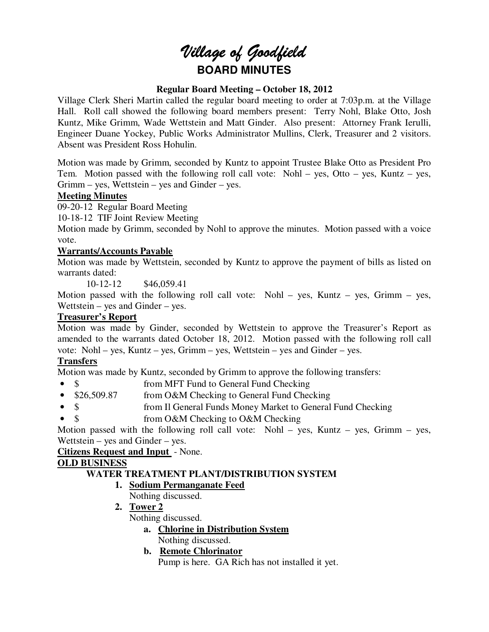# *Village of Goodfield* **BOARD MINUTES**

## **Regular Board Meeting – October 18, 2012**

Village Clerk Sheri Martin called the regular board meeting to order at 7:03p.m. at the Village Hall. Roll call showed the following board members present: Terry Nohl, Blake Otto, Josh Kuntz, Mike Grimm, Wade Wettstein and Matt Ginder. Also present: Attorney Frank Ierulli, Engineer Duane Yockey, Public Works Administrator Mullins, Clerk, Treasurer and 2 visitors. Absent was President Ross Hohulin.

Motion was made by Grimm, seconded by Kuntz to appoint Trustee Blake Otto as President Pro Tem. Motion passed with the following roll call vote: Nohl – yes, Otto – yes, Kuntz – yes, Grimm – yes, Wettstein – yes and Ginder – yes.

#### **Meeting Minutes**

09-20-12 Regular Board Meeting

10-18-12 TIF Joint Review Meeting

Motion made by Grimm, seconded by Nohl to approve the minutes. Motion passed with a voice vote.

## **Warrants/Accounts Payable**

Motion was made by Wettstein, seconded by Kuntz to approve the payment of bills as listed on warrants dated:

10-12-12 \$46,059.41

Motion passed with the following roll call vote: Nohl – yes, Kuntz – yes, Grimm – yes, Wettstein – yes and Ginder – yes.

## **Treasurer's Report**

Motion was made by Ginder, seconded by Wettstein to approve the Treasurer's Report as amended to the warrants dated October 18, 2012. Motion passed with the following roll call vote: Nohl – yes, Kuntz – yes, Grimm – yes, Wettstein – yes and Ginder – yes.

## **Transfers**

Motion was made by Kuntz, seconded by Grimm to approve the following transfers:

- \$ from MFT Fund to General Fund Checking
- \$26,509.87 from O&M Checking to General Fund Checking
- \$ from Il General Funds Money Market to General Fund Checking
- \$ from O&M Checking to O&M Checking

Motion passed with the following roll call vote: Nohl – yes, Kuntz – yes, Grimm – yes, Wettstein – yes and Ginder – yes.

#### **Citizens Request and Input** - None.

## **OLD BUSINESS**

## **WATER TREATMENT PLANT/DISTRIBUTION SYSTEM**

- **1. Sodium Permanganate Feed** 
	- Nothing discussed.
- **2. Tower 2**  Nothing discussed.
	- **a. Chlorine in Distribution System** 
		- Nothing discussed.
		- **b. Remote Chlorinator**

Pump is here. GA Rich has not installed it yet.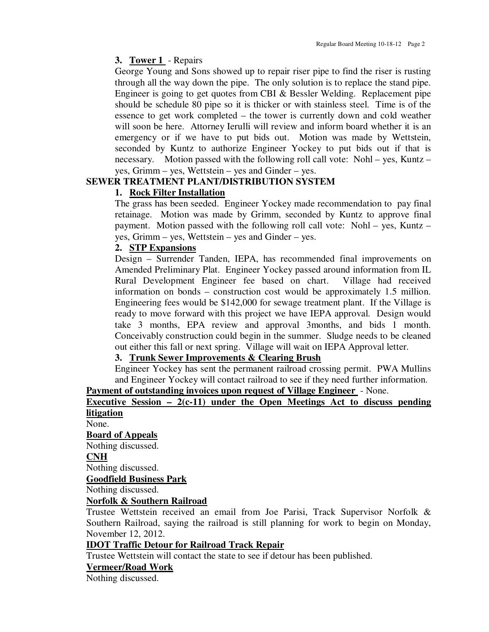## **3. Tower 1** - Repairs

George Young and Sons showed up to repair riser pipe to find the riser is rusting through all the way down the pipe. The only solution is to replace the stand pipe. Engineer is going to get quotes from CBI & Bessler Welding. Replacement pipe should be schedule 80 pipe so it is thicker or with stainless steel. Time is of the essence to get work completed – the tower is currently down and cold weather will soon be here. Attorney Ierulli will review and inform board whether it is an emergency or if we have to put bids out. Motion was made by Wettstein, seconded by Kuntz to authorize Engineer Yockey to put bids out if that is necessary. Motion passed with the following roll call vote: Nohl – yes, Kuntz – yes, Grimm – yes, Wettstein – yes and Ginder – yes.

## **SEWER TREATMENT PLANT/DISTRIBUTION SYSTEM**

## **1. Rock Filter Installation**

The grass has been seeded. Engineer Yockey made recommendation to pay final retainage. Motion was made by Grimm, seconded by Kuntz to approve final payment. Motion passed with the following roll call vote: Nohl – yes, Kuntz – yes, Grimm – yes, Wettstein – yes and Ginder – yes.

#### **2. STP Expansions**

Design – Surrender Tanden, IEPA, has recommended final improvements on Amended Preliminary Plat. Engineer Yockey passed around information from IL Rural Development Engineer fee based on chart. Village had received information on bonds – construction cost would be approximately 1.5 million. Engineering fees would be \$142,000 for sewage treatment plant. If the Village is ready to move forward with this project we have IEPA approval. Design would take 3 months, EPA review and approval 3months, and bids 1 month. Conceivably construction could begin in the summer. Sludge needs to be cleaned out either this fall or next spring. Village will wait on IEPA Approval letter.

## **3. Trunk Sewer Improvements & Clearing Brush**

Engineer Yockey has sent the permanent railroad crossing permit. PWA Mullins and Engineer Yockey will contact railroad to see if they need further information.

# **Payment of outstanding invoices upon request of Village Engineer** - None.

## **Executive Session – 2(c-11) under the Open Meetings Act to discuss pending litigation**

None.

## **Board of Appeals**

Nothing discussed.

#### **CNH**

Nothing discussed.

#### **Goodfield Business Park**

Nothing discussed.

#### **Norfolk & Southern Railroad**

Trustee Wettstein received an email from Joe Parisi, Track Supervisor Norfolk & Southern Railroad, saying the railroad is still planning for work to begin on Monday, November 12, 2012.

## **IDOT Traffic Detour for Railroad Track Repair**

Trustee Wettstein will contact the state to see if detour has been published.

#### **Vermeer/Road Work**

Nothing discussed.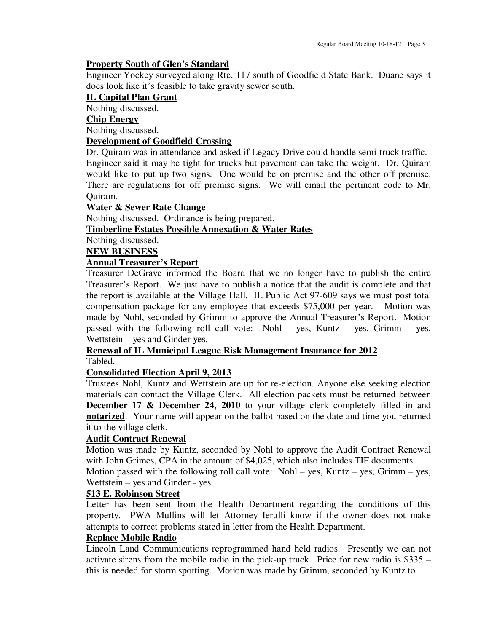#### **Property South of Glen's Standard**

Engineer Yockey surveyed along Rte. 117 south of Goodfield State Bank. Duane says it does look like it's feasible to take gravity sewer south.

#### **IL Capital Plan Grant**

Nothing discussed.

#### **Chip Energy**

Nothing discussed.

#### **Development of Goodfield Crossing**

Dr. Quiram was in attendance and asked if Legacy Drive could handle semi-truck traffic. Engineer said it may be tight for trucks but pavement can take the weight. Dr. Quiram would like to put up two signs. One would be on premise and the other off premise. There are regulations for off premise signs. We will email the pertinent code to Mr. Quiram.

#### **Water & Sewer Rate Change**

Nothing discussed. Ordinance is being prepared.

# **Timberline Estates Possible Annexation & Water Rates**

Nothing discussed.

#### **NEW BUSINESS**

## **Annual Treasurer's Report**

Treasurer DeGrave informed the Board that we no longer have to publish the entire Treasurer's Report. We just have to publish a notice that the audit is complete and that the report is available at the Village Hall. IL Public Act 97-609 says we must post total compensation package for any employee that exceeds \$75,000 per year. Motion was made by Nohl, seconded by Grimm to approve the Annual Treasurer's Report. Motion passed with the following roll call vote: Nohl – yes, Kuntz – yes, Grimm – yes, Wettstein – yes and Ginder yes.

#### **Renewal of IL Municipal League Risk Management Insurance for 2012**  Tabled.

#### **Consolidated Election April 9, 2013**

Trustees Nohl, Kuntz and Wettstein are up for re-election. Anyone else seeking election materials can contact the Village Clerk. All election packets must be returned between **December 17 & December 24, 2010** to your village clerk completely filled in and **notarized**. Your name will appear on the ballot based on the date and time you returned it to the village clerk.

#### **Audit Contract Renewal**

Motion was made by Kuntz, seconded by Nohl to approve the Audit Contract Renewal with John Grimes, CPA in the amount of \$4,025, which also includes TIF documents.

Motion passed with the following roll call vote: Nohl – yes, Kuntz – yes, Grimm – yes, Wettstein – yes and Ginder - yes.

## **513 E. Robinson Street**

Letter has been sent from the Health Department regarding the conditions of this property. PWA Mullins will let Attorney Ierulli know if the owner does not make attempts to correct problems stated in letter from the Health Department.

#### **Replace Mobile Radio**

Lincoln Land Communications reprogrammed hand held radios. Presently we can not activate sirens from the mobile radio in the pick-up truck. Price for new radio is \$335 – this is needed for storm spotting. Motion was made by Grimm, seconded by Kuntz to